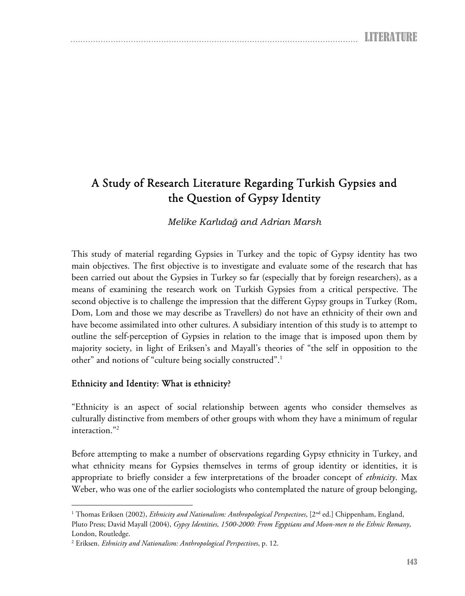# A Study of Research Literature Regarding Turkish Gypsies and the Question of Gypsy Identity

*Melike Karlıdağ and Adrian Marsh* 

This study of material regarding Gypsies in Turkey and the topic of Gypsy identity has two main objectives. The first objective is to investigate and evaluate some of the research that has been carried out about the Gypsies in Turkey so far (especially that by foreign researchers), as a means of examining the research work on Turkish Gypsies from a critical perspective. The second objective is to challenge the impression that the different Gypsy groups in Turkey (Rom, Dom, Lom and those we may describe as Travellers) do not have an ethnicity of their own and have become assimilated into other cultures. A subsidiary intention of this study is to attempt to outline the self-perception of Gypsies in relation to the image that is imposed upon them by majority society, in light of Eriksen's and Mayall's theories of "the self in opposition to the other" and notions of "culture being socially constructed".1

## Ethnicity and Identity: What is ethnicity?

 $\overline{a}$ 

"Ethnicity is an aspect of social relationship between agents who consider themselves as culturally distinctive from members of other groups with whom they have a minimum of regular interaction."2

Before attempting to make a number of observations regarding Gypsy ethnicity in Turkey, and what ethnicity means for Gypsies themselves in terms of group identity or identities, it is appropriate to briefly consider a few interpretations of the broader concept of *ethnicity*. Max Weber, who was one of the earlier sociologists who contemplated the nature of group belonging,

<sup>&</sup>lt;sup>1</sup> Thomas Eriksen (2002), *Ethnicity and Nationalism: Anthropological Perspectives*, [2<sup>nd</sup> ed.] Chippenham, England, Pluto Press; David Mayall (2004), *Gypsy Identities, 1500-2000: From Egyptians and Moon-men to the Ethnic Romany*, London, Routledge.

<sup>2</sup> Eriksen. *Ethnicity and Nationalism: Anthropological Perspectives*, p. 12.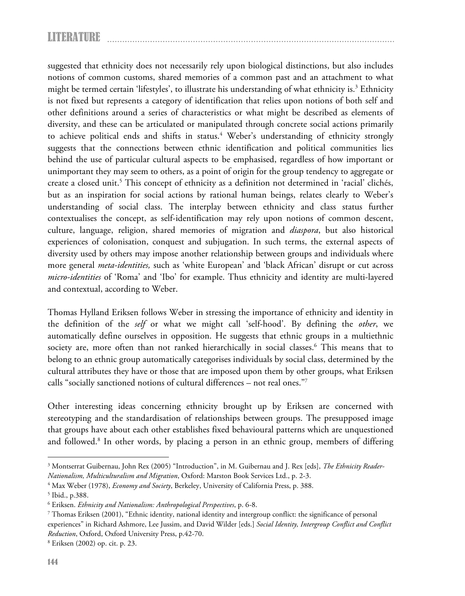suggested that ethnicity does not necessarily rely upon biological distinctions, but also includes notions of common customs, shared memories of a common past and an attachment to what might be termed certain 'lifestyles', to illustrate his understanding of what ethnicity is.<sup>3</sup> Ethnicity is not fixed but represents a category of identification that relies upon notions of both self and other definitions around a series of characteristics or what might be described as elements of diversity, and these can be articulated or manipulated through concrete social actions primarily to achieve political ends and shifts in status.<sup>4</sup> Weber's understanding of ethnicity strongly suggests that the connections between ethnic identification and political communities lies behind the use of particular cultural aspects to be emphasised, regardless of how important or unimportant they may seem to others, as a point of origin for the group tendency to aggregate or create a closed unit.<sup>5</sup> This concept of ethnicity as a definition not determined in 'racial' clichés, but as an inspiration for social actions by rational human beings, relates clearly to Weber's understanding of social class. The interplay between ethnicity and class status further contextualises the concept, as self-identification may rely upon notions of common descent, culture, language, religion, shared memories of migration and *diaspora*, but also historical experiences of colonisation, conquest and subjugation. In such terms, the external aspects of diversity used by others may impose another relationship between groups and individuals where more general *meta-identities,* such as 'white European' and 'black African' disrupt or cut across *micro-identities* of 'Roma' and 'Ibo' for example. Thus ethnicity and identity are multi-layered and contextual, according to Weber.

Thomas Hylland Eriksen follows Weber in stressing the importance of ethnicity and identity in the definition of the *self* or what we might call 'self-hood'. By defining the *other*, we automatically define ourselves in opposition. He suggests that ethnic groups in a multiethnic society are, more often than not ranked hierarchically in social classes.<sup>6</sup> This means that to belong to an ethnic group automatically categorises individuals by social class, determined by the cultural attributes they have or those that are imposed upon them by other groups, what Eriksen calls "socially sanctioned notions of cultural differences – not real ones."7

Other interesting ideas concerning ethnicity brought up by Eriksen are concerned with stereotyping and the standardisation of relationships between groups. The presupposed image that groups have about each other establishes fixed behavioural patterns which are unquestioned and followed.<sup>8</sup> In other words, by placing a person in an ethnic group, members of differing

<sup>3</sup> Montserrat Guibernau, John Rex (2005) "Introduction", in M. Guibernau and J. Rex [eds], *The Ethnicity Reader-Nationalism, Multiculturalism and Migration*, Oxford: Marston Book Services Ltd., p. 2-3. 4

<sup>&</sup>lt;sup>4</sup> Max Weber (1978), *Economy and Society*, Berkeley, University of California Press, p. 388.

<sup>&</sup>lt;sup>5</sup> Ibid., p.388.

<sup>&</sup>lt;sup>6</sup> Eriksen. *Ethnicity and Nationalism: Anthropological Perspectives*, p. 6-8.<br><sup>7</sup> Thomas Eriksen (2001). "Ethnic identity, national identity and intergr

 $^7$  Thomas Eriksen (2001), "Ethnic identity, national identity and intergroup conflict: the significance of personal experiences" in Richard Ashmore, Lee Jussim, and David Wilder [eds.] *Social Identity, Intergroup Conflict and Conflict Reduction*, Oxford, Oxford University Press, p.42-70.

Eriksen (2002) op. cit. p. 23.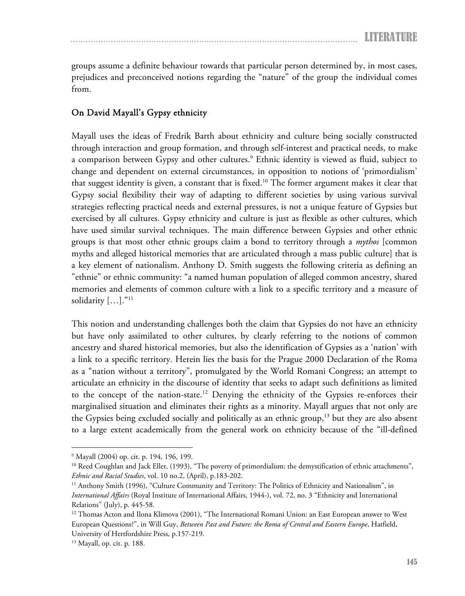groups assume a definite behaviour towards that particular person determined by, in most cases, prejudices and preconceived notions regarding the "nature" of the group the individual comes from.

#### On David Mayall's Gypsy ethnicity

Mayall uses the ideas of Fredrik Barth about ethnicity and culture being socially constructed through interaction and group formation, and through self-interest and practical needs, to make a comparison between Gypsy and other cultures.<sup>9</sup> Ethnic identity is viewed as fluid, subject to change and dependent on external circumstances, in opposition to notions of 'primordialism' that suggest identity is given, a constant that is fixed.<sup>10</sup> The former argument makes it clear that Gypsy social flexibility their way of adapting to different societies by using various survival strategies reflecting practical needs and external pressures, is not a unique feature of Gypsies but exercised by all cultures. Gypsy ethnicity and culture is just as flexible as other cultures, which have used similar survival techniques. The main difference between Gypsies and other ethnic groups is that most other ethnic groups claim a bond to territory through a *mythos* [common myths and alleged historical memories that are articulated through a mass public culture] that is a key element of nationalism. Anthony D. Smith suggests the following criteria as defining an "ethnie" or ethnic community: "a named human population of alleged common ancestry, shared memories and elements of common culture with a link to a specific territory and a measure of solidarity [...]."<sup>11</sup>

This notion and understanding challenges both the claim that Gypsies do not have an ethnicity but have only assimilated to other cultures, by clearly referring to the notions of common ancestry and shared historical memories, but also the identification of Gypsies as a 'nation' with a link to a specific territory. Herein lies the basis for the Prague 2000 Declaration of the Roma as a "nation without a territory", promulgated by the World Romani Congress; an attempt to articulate an ethnicity in the discourse of identity that seeks to adapt such definitions as limited to the concept of the nation-state.<sup>12</sup> Denying the ethnicity of the Gypsies re-enforces their marginalised situation and eliminates their rights as a minority. Mayall argues that not only are the Gypsies being excluded socially and politically as an ethnic group, $13$  but they are also absent to a large extent academically from the general work on ethnicity because of the "ill-defined

<sup>9</sup> Mayall (2004) op. cit. p. 194, 196, 199.

<sup>&</sup>lt;sup>10</sup> Reed Coughlan and Jack Eller, (1993), "The poverty of primordialism: the demystification of ethnic attachments", *Ethnic and Racial Studies*, vol. 10 no.2, (April), p.183-202.<br><sup>11</sup> Anthony Smith (1996), "Culture Community and Territory: The Politics of Ethnicity and Nationalism", in

*International Affairs* (Royal Institute of International Affairs, 1944-), vol. 72, no. 3 "Ethnicity and International Relations" (July), p. 445-58.

<sup>&</sup>lt;sup>12</sup> Thomas Acton and Ilona Klimova (2001), "The International Romani Union: an East European answer to West European Questions?", in Will Guy, *Between Past and Future: the Roma of Central and Eastern Europe*, Hatfield, University of Hertfordshire Press, p.157-219. 13 Mayall, op. cit. p. 188.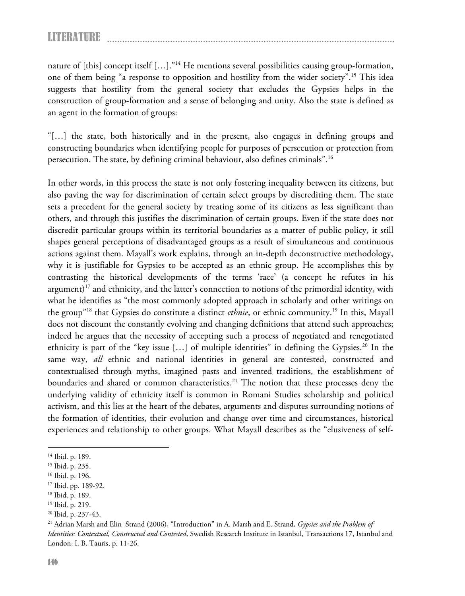nature of [this] concept itself [...]."<sup>14</sup> He mentions several possibilities causing group-formation, one of them being "a response to opposition and hostility from the wider society".15 This idea suggests that hostility from the general society that excludes the Gypsies helps in the construction of group-formation and a sense of belonging and unity. Also the state is defined as an agent in the formation of groups:

"[…] the state, both historically and in the present, also engages in defining groups and constructing boundaries when identifying people for purposes of persecution or protection from persecution. The state, by defining criminal behaviour, also defines criminals".16

In other words, in this process the state is not only fostering inequality between its citizens, but also paving the way for discrimination of certain select groups by discrediting them. The state sets a precedent for the general society by treating some of its citizens as less significant than others, and through this justifies the discrimination of certain groups. Even if the state does not discredit particular groups within its territorial boundaries as a matter of public policy, it still shapes general perceptions of disadvantaged groups as a result of simultaneous and continuous actions against them. Mayall's work explains, through an in-depth deconstructive methodology, why it is justifiable for Gypsies to be accepted as an ethnic group. He accomplishes this by contrasting the historical developments of the terms 'race' (a concept he refutes in his argument)<sup>17</sup> and ethnicity, and the latter's connection to notions of the primordial identity, with what he identifies as "the most commonly adopted approach in scholarly and other writings on the group"18 that Gypsies do constitute a distinct *ethnie*, or ethnic community.19 In this, Mayall does not discount the constantly evolving and changing definitions that attend such approaches; indeed he argues that the necessity of accepting such a process of negotiated and renegotiated ethnicity is part of the "key issue  $[\,\ldots\,]$  of multiple identities" in defining the Gypsies.<sup>20</sup> In the same way, *all* ethnic and national identities in general are contested, constructed and contextualised through myths, imagined pasts and invented traditions, the establishment of boundaries and shared or common characteristics.<sup>21</sup> The notion that these processes deny the underlying validity of ethnicity itself is common in Romani Studies scholarship and political activism, and this lies at the heart of the debates, arguments and disputes surrounding notions of the formation of identities, their evolution and change over time and circumstances, historical experiences and relationship to other groups. What Mayall describes as the "elusiveness of self-

<sup>&</sup>lt;sup>14</sup> Ibid. p. 189.

<sup>15</sup> Ibid. p. 235.

<sup>16</sup> Ibid. p. 196.

<sup>17</sup> Ibid. pp. 189-92.

<sup>18</sup> Ibid. p. 189.

<sup>19</sup> Ibid. p. 219.

<sup>20</sup> Ibid. p. 237-43.

<sup>21</sup> Adrian Marsh and Elin Strand (2006), "Introduction" in A. Marsh and E. Strand, *Gypsies and the Problem of Identities: Contextual, Constructed and Contested*, Swedish Research Institute in Istanbul, Transactions 17, Istanbul and London, I. B. Tauris, p. 11-26.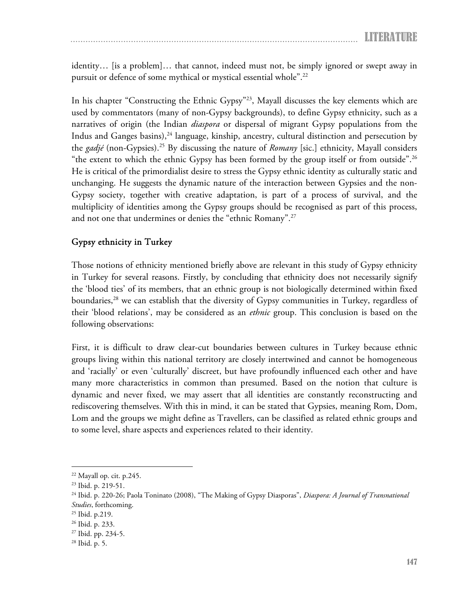identity… [is a problem]… that cannot, indeed must not, be simply ignored or swept away in pursuit or defence of some mythical or mystical essential whole".22

In his chapter "Constructing the Ethnic Gypsy"<sup>23</sup>, Mayall discusses the key elements which are used by commentators (many of non-Gypsy backgrounds), to define Gypsy ethnicity, such as a narratives of origin (the Indian *diaspora* or dispersal of migrant Gypsy populations from the Indus and Ganges basins), $24$  language, kinship, ancestry, cultural distinction and persecution by the *gadjé* (non-Gypsies).25 By discussing the nature of *Romany* [sic.] ethnicity, Mayall considers "the extent to which the ethnic Gypsy has been formed by the group itself or from outside".<sup>26</sup> He is critical of the primordialist desire to stress the Gypsy ethnic identity as culturally static and unchanging. He suggests the dynamic nature of the interaction between Gypsies and the non-Gypsy society, together with creative adaptation, is part of a process of survival, and the multiplicity of identities among the Gypsy groups should be recognised as part of this process, and not one that undermines or denies the "ethnic Romany".<sup>27</sup>

#### Gypsy ethnicity in Turkey

Those notions of ethnicity mentioned briefly above are relevant in this study of Gypsy ethnicity in Turkey for several reasons. Firstly, by concluding that ethnicity does not necessarily signify the 'blood ties' of its members, that an ethnic group is not biologically determined within fixed boundaries,<sup>28</sup> we can establish that the diversity of Gypsy communities in Turkey, regardless of their 'blood relations', may be considered as an *ethnic* group. This conclusion is based on the following observations:

First, it is difficult to draw clear-cut boundaries between cultures in Turkey because ethnic groups living within this national territory are closely intertwined and cannot be homogeneous and 'racially' or even 'culturally' discreet, but have profoundly influenced each other and have many more characteristics in common than presumed. Based on the notion that culture is dynamic and never fixed, we may assert that all identities are constantly reconstructing and rediscovering themselves. With this in mind, it can be stated that Gypsies, meaning Rom, Dom, Lom and the groups we might define as Travellers, can be classified as related ethnic groups and to some level, share aspects and experiences related to their identity.

<sup>22</sup> Mayall op. cit. p.245.

<sup>23</sup> Ibid. p. 219-51.

<sup>24</sup> Ibid. p. 220-26; Paola Toninato (2008), "The Making of Gypsy Diasporas", *Diaspora: A Journal of Transnational Studies*, forthcoming. 25 Ibid. p.219.

<sup>26</sup> Ibid. p. 233.

<sup>27</sup> Ibid. pp. 234-5.

<sup>28</sup> Ibid. p. 5.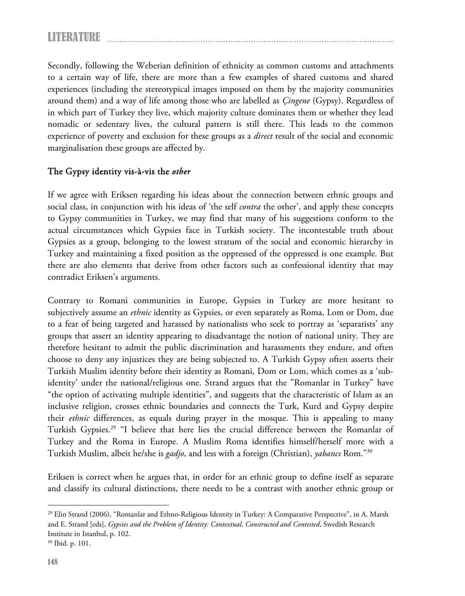Secondly, following the Weberian definition of ethnicity as common customs and attachments to a certain way of life, there are more than a few examples of shared customs and shared experiences (including the stereotypical images imposed on them by the majority communities around them) and a way of life among those who are labelled as *Çingene* (Gypsy). Regardless of in which part of Turkey they live, which majority culture dominates them or whether they lead nomadic or sedentary lives, the cultural pattern is still there. This leads to the common experience of poverty and exclusion for these groups as a *direct* result of the social and economic marginalisation these groups are affected by.

#### The Gypsy identity vis-à-vis the *other*

If we agree with Eriksen regarding his ideas about the connection between ethnic groups and social class, in conjunction with his ideas of 'the self *contra* the other', and apply these concepts to Gypsy communities in Turkey, we may find that many of his suggestions conform to the actual circumstances which Gypsies face in Turkish society. The incontestable truth about Gypsies as a group, belonging to the lowest stratum of the social and economic hierarchy in Turkey and maintaining a fixed position as the oppressed of the oppressed is one example. But there are also elements that derive from other factors such as confessional identity that may contradict Eriksen's arguments.

Contrary to Romani communities in Europe, Gypsies in Turkey are more hesitant to subjectively assume an *ethnic* identity as Gypsies, or even separately as Roma, Lom or Dom, due to a fear of being targeted and harassed by nationalists who seek to portray as 'separatists' any groups that assert an identity appearing to disadvantage the notion of national unity. They are therefore hesitant to admit the public discrimination and harassments they endure, and often choose to deny any injustices they are being subjected to. A Turkish Gypsy often asserts their Turkish Muslim identity before their identity as Romani, Dom or Lom, which comes as a 'subidentity' under the national/religious one. Strand argues that the "Romanlar in Turkey" have "the option of activating multiple identities", and suggests that the characteristic of Islam as an inclusive religion, crosses ethnic boundaries and connects the Turk, Kurd and Gypsy despite their *ethnic* differences, as equals during prayer in the mosque. This is appealing to many Turkish Gypsies.<sup>29</sup> "I believe that here lies the crucial difference between the Romanlar of Turkey and the Roma in Europe. A Muslim Roma identifies himself/herself more with a Turkish Muslim, albeit he/she is *gadjo*, and less with a foreign (Christian), *yabancı* Rom."30

Eriksen is correct when he argues that, in order for an ethnic group to define itself as separate and classify its cultural distinctions, there needs to be a contrast with another ethnic group or

 $^{29}$  Elin Strand (2006), "Romanlar and Ethno-Religious Identity in Turkey: A Comparative Perspective", in A. Marsh and E. Strand [eds], *Gypsies and the Problem of Identity: Contextual, Constructed and Contested*, Swedish Research Institute in Istanbul, p. 102.

<sup>30</sup> Ibid. p. 101.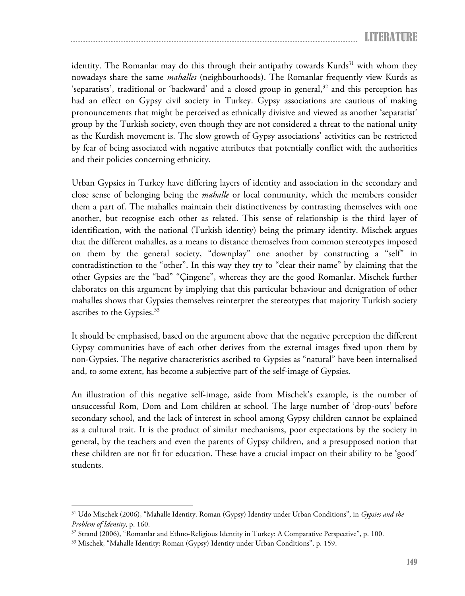identity. The Romanlar may do this through their antipathy towards Kurds<sup>31</sup> with whom they nowadays share the same *mahalles* (neighbourhoods). The Romanlar frequently view Kurds as 'separatists', traditional or 'backward' and a closed group in general, $32$  and this perception has had an effect on Gypsy civil society in Turkey. Gypsy associations are cautious of making pronouncements that might be perceived as ethnically divisive and viewed as another 'separatist' group by the Turkish society, even though they are not considered a threat to the national unity as the Kurdish movement is. The slow growth of Gypsy associations' activities can be restricted by fear of being associated with negative attributes that potentially conflict with the authorities and their policies concerning ethnicity.

Urban Gypsies in Turkey have differing layers of identity and association in the secondary and close sense of belonging being the *mahalle* or local community, which the members consider them a part of. The mahalles maintain their distinctiveness by contrasting themselves with one another, but recognise each other as related. This sense of relationship is the third layer of identification, with the national (Turkish identity) being the primary identity. Mischek argues that the different mahalles, as a means to distance themselves from common stereotypes imposed on them by the general society, "downplay" one another by constructing a "self" in contradistinction to the "other". In this way they try to "clear their name" by claiming that the other Gypsies are the "bad" "Çingene", whereas they are the good Romanlar. Mischek further elaborates on this argument by implying that this particular behaviour and denigration of other mahalles shows that Gypsies themselves reinterpret the stereotypes that majority Turkish society ascribes to the Gypsies.<sup>33</sup>

It should be emphasised, based on the argument above that the negative perception the different Gypsy communities have of each other derives from the external images fixed upon them by non-Gypsies. The negative characteristics ascribed to Gypsies as "natural" have been internalised and, to some extent, has become a subjective part of the self-image of Gypsies.

An illustration of this negative self-image, aside from Mischek's example, is the number of unsuccessful Rom, Dom and Lom children at school. The large number of 'drop-outs' before secondary school, and the lack of interest in school among Gypsy children cannot be explained as a cultural trait. It is the product of similar mechanisms, poor expectations by the society in general, by the teachers and even the parents of Gypsy children, and a presupposed notion that these children are not fit for education. These have a crucial impact on their ability to be 'good' students.

<sup>31</sup> Udo Mischek (2006), "Mahalle Identity. Roman (Gypsy) Identity under Urban Conditions", in *Gypsies and the* 

*Problem of Identity*, p. 160.<br><sup>32</sup> Strand (2006), "Romanlar and Ethno-Religious Identity in Turkey: A Comparative Perspective", p. 100.<br><sup>33</sup> Mischek, "Mahalle Identity: Roman (Gypsy) Identity under Urban Conditions", p. 1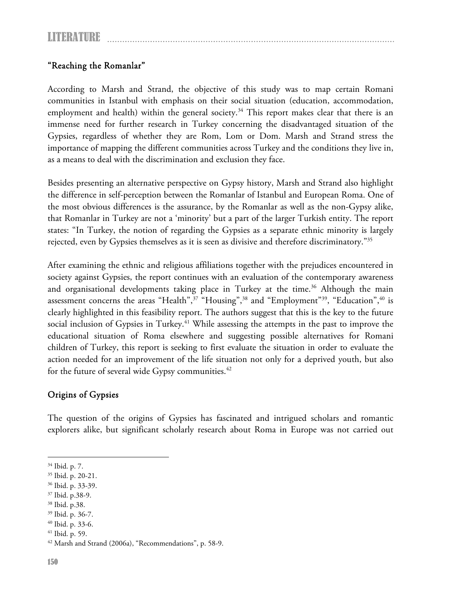## "Reaching the Romanlar"

According to Marsh and Strand, the objective of this study was to map certain Romani communities in Istanbul with emphasis on their social situation (education, accommodation, employment and health) within the general society.<sup>34</sup> This report makes clear that there is an immense need for further research in Turkey concerning the disadvantaged situation of the Gypsies, regardless of whether they are Rom, Lom or Dom. Marsh and Strand stress the importance of mapping the different communities across Turkey and the conditions they live in, as a means to deal with the discrimination and exclusion they face.

Besides presenting an alternative perspective on Gypsy history, Marsh and Strand also highlight the difference in self-perception between the Romanlar of Istanbul and European Roma. One of the most obvious differences is the assurance, by the Romanlar as well as the non-Gypsy alike, that Romanlar in Turkey are not a 'minority' but a part of the larger Turkish entity. The report states: "In Turkey, the notion of regarding the Gypsies as a separate ethnic minority is largely rejected, even by Gypsies themselves as it is seen as divisive and therefore discriminatory."<sup>35</sup>

After examining the ethnic and religious affiliations together with the prejudices encountered in society against Gypsies, the report continues with an evaluation of the contemporary awareness and organisational developments taking place in Turkey at the time.<sup>36</sup> Although the main assessment concerns the areas "Health",<sup>37</sup> "Housing",<sup>38</sup> and "Employment"<sup>39</sup>, "Education",<sup>40</sup> is clearly highlighted in this feasibility report. The authors suggest that this is the key to the future social inclusion of Gypsies in Turkey.<sup>41</sup> While assessing the attempts in the past to improve the educational situation of Roma elsewhere and suggesting possible alternatives for Romani children of Turkey, this report is seeking to first evaluate the situation in order to evaluate the action needed for an improvement of the life situation not only for a deprived youth, but also for the future of several wide Gypsy communities.<sup>42</sup>

## Origins of Gypsies

The question of the origins of Gypsies has fascinated and intrigued scholars and romantic explorers alike, but significant scholarly research about Roma in Europe was not carried out

<sup>34</sup> Ibid. p. 7.

<sup>35</sup> Ibid. p. 20-21.

<sup>36</sup> Ibid. p. 33-39.

<sup>37</sup> Ibid. p.38-9.

<sup>38</sup> Ibid. p.38.

<sup>39</sup> Ibid. p. 36-7.

<sup>40</sup> Ibid. p. 33-6.

<sup>41</sup> Ibid. p. 59.

<sup>42</sup> Marsh and Strand (2006a), "Recommendations", p. 58-9.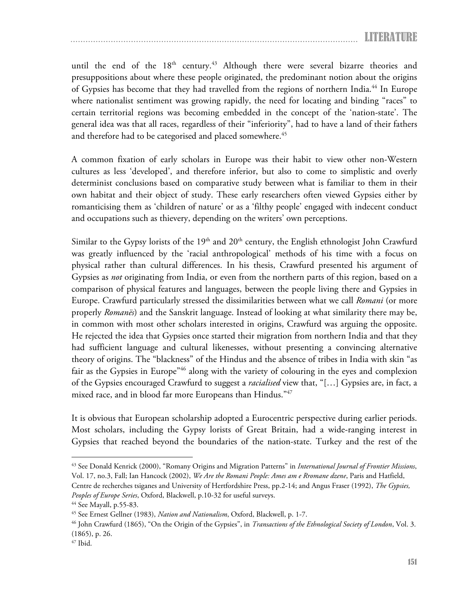until the end of the 18<sup>th</sup> century.<sup>43</sup> Although there were several bizarre theories and presuppositions about where these people originated, the predominant notion about the origins of Gypsies has become that they had travelled from the regions of northern India.<sup>44</sup> In Europe where nationalist sentiment was growing rapidly, the need for locating and binding "races" to certain territorial regions was becoming embedded in the concept of the 'nation-state'. The general idea was that all races, regardless of their "inferiority", had to have a land of their fathers and therefore had to be categorised and placed somewhere.<sup>45</sup>

A common fixation of early scholars in Europe was their habit to view other non-Western cultures as less 'developed', and therefore inferior, but also to come to simplistic and overly determinist conclusions based on comparative study between what is familiar to them in their own habitat and their object of study. These early researchers often viewed Gypsies either by romanticising them as 'children of nature' or as a 'filthy people' engaged with indecent conduct and occupations such as thievery, depending on the writers' own perceptions.

Similar to the Gypsy lorists of the 19<sup>th</sup> and 20<sup>th</sup> century, the English ethnologist John Crawfurd was greatly influenced by the 'racial anthropological' methods of his time with a focus on physical rather than cultural differences. In his thesis, Crawfurd presented his argument of Gypsies as *not* originating from India, or even from the northern parts of this region, based on a comparison of physical features and languages, between the people living there and Gypsies in Europe. Crawfurd particularly stressed the dissimilarities between what we call *Romani* (or more properly *Romanës*) and the Sanskrit language. Instead of looking at what similarity there may be, in common with most other scholars interested in origins, Crawfurd was arguing the opposite. He rejected the idea that Gypsies once started their migration from northern India and that they had sufficient language and cultural likenesses, without presenting a convincing alternative theory of origins. The "blackness" of the Hindus and the absence of tribes in India with skin "as fair as the Gypsies in Europe"<sup>46</sup> along with the variety of colouring in the eyes and complexion of the Gypsies encouraged Crawfurd to suggest a *racialised* view that, "[…] Gypsies are, in fact, a mixed race, and in blood far more Europeans than Hindus."47

It is obvious that European scholarship adopted a Eurocentric perspective during earlier periods. Most scholars, including the Gypsy lorists of Great Britain, had a wide-ranging interest in Gypsies that reached beyond the boundaries of the nation-state. Turkey and the rest of the

Centre de recherches tsiganes and University of Hertfordshire Press, pp.2-14; and Angus Fraser (1992), *The Gypsies, Peoples of Europe Series*, Oxford, Blackwell, p.10-32 for useful surveys. 44 See Mayall, p.55-83.

<sup>43</sup> See Donald Kenrick (2000), "Romany Origins and Migration Patterns" in *International Journal of Frontier Missions*, Vol. 17, no.3, Fall; Ian Hancock (2002), *We Are the Romani People: Ames am e Rromane dzene*, Paris and Hatfield,

<sup>&</sup>lt;sup>45</sup> See Ernest Gellner (1983), *Nation and Nationalism*, Oxford, Blackwell, p. 1-7.<br><sup>46</sup> John Crawfurd (1865), "On the Origin of the Gypsies", in *Transactions of the Ethnological Society of London*, Vol. 3. (1865), p. 26.

<sup>47</sup> Ibid.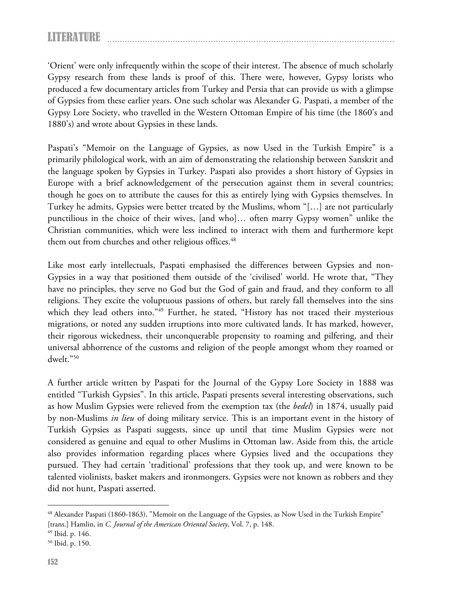'Orient' were only infrequently within the scope of their interest. The absence of much scholarly Gypsy research from these lands is proof of this. There were, however, Gypsy lorists who produced a few documentary articles from Turkey and Persia that can provide us with a glimpse of Gypsies from these earlier years. One such scholar was Alexander G. Paspati, a member of the Gypsy Lore Society, who travelled in the Western Ottoman Empire of his time (the 1860's and 1880's) and wrote about Gypsies in these lands.

Paspati's "Memoir on the Language of Gypsies, as now Used in the Turkish Empire" is a primarily philological work, with an aim of demonstrating the relationship between Sanskrit and the language spoken by Gypsies in Turkey. Paspati also provides a short history of Gypsies in Europe with a brief acknowledgement of the persecution against them in several countries; though he goes on to attribute the causes for this as entirely lying with Gypsies themselves. In Turkey he admits, Gypsies were better treated by the Muslims, whom "[…] are not particularly punctilious in the choice of their wives, [and who]… often marry Gypsy women" unlike the Christian communities, which were less inclined to interact with them and furthermore kept them out from churches and other religious offices.<sup>48</sup>

Like most early intellectuals, Paspati emphasised the differences between Gypsies and non-Gypsies in a way that positioned them outside of the 'civilised' world. He wrote that, "They have no principles, they serve no God but the God of gain and fraud, and they conform to all religions. They excite the voluptuous passions of others, but rarely fall themselves into the sins which they lead others into."49 Further, he stated, "History has not traced their mysterious migrations, or noted any sudden irruptions into more cultivated lands. It has marked, however, their rigorous wickedness, their unconquerable propensity to roaming and pilfering, and their universal abhorrence of the customs and religion of the people amongst whom they roamed or dwelt."50

A further article written by Paspati for the Journal of the Gypsy Lore Society in 1888 was entitled "Turkish Gypsies". In this article, Paspati presents several interesting observations, such as how Muslim Gypsies were relieved from the exemption tax (the *bedel*) in 1874, usually paid by non-Muslims *in lieu* of doing military service. This is an important event in the history of Turkish Gypsies as Paspati suggests, since up until that time Muslim Gypsies were not considered as genuine and equal to other Muslims in Ottoman law. Aside from this, the article also provides information regarding places where Gypsies lived and the occupations they pursued. They had certain 'traditional' professions that they took up, and were known to be talented violinists, basket makers and ironmongers. Gypsies were not known as robbers and they did not hunt, Paspati asserted.

<sup>48</sup> Alexander Paspati (1860-1863), "Memoir on the Language of the Gypsies, as Now Used in the Turkish Empire" [trans.] Hamlin, in *C. Journal of the American Oriental Society*, Vol. 7, p. 148. 49 Ibid. p. 146.

<sup>50</sup> Ibid. p. 150.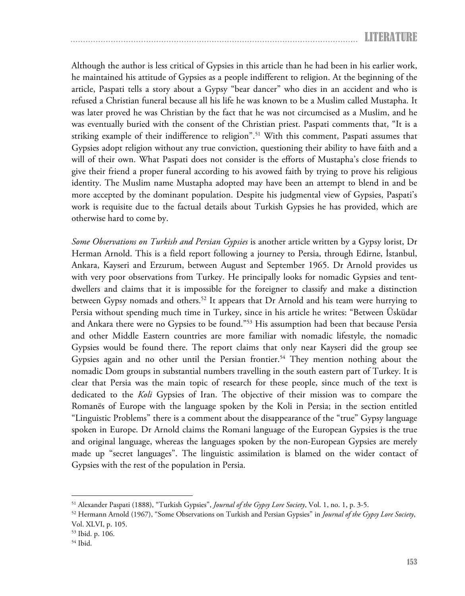Although the author is less critical of Gypsies in this article than he had been in his earlier work, he maintained his attitude of Gypsies as a people indifferent to religion. At the beginning of the article, Paspati tells a story about a Gypsy "bear dancer" who dies in an accident and who is refused a Christian funeral because all his life he was known to be a Muslim called Mustapha. It was later proved he was Christian by the fact that he was not circumcised as a Muslim, and he was eventually buried with the consent of the Christian priest. Paspati comments that, "It is a striking example of their indifference to religion".<sup>51</sup> With this comment, Paspati assumes that Gypsies adopt religion without any true conviction, questioning their ability to have faith and a will of their own. What Paspati does not consider is the efforts of Mustapha's close friends to give their friend a proper funeral according to his avowed faith by trying to prove his religious identity. The Muslim name Mustapha adopted may have been an attempt to blend in and be more accepted by the dominant population. Despite his judgmental view of Gypsies, Paspati's work is requisite due to the factual details about Turkish Gypsies he has provided, which are otherwise hard to come by.

*Some Observations on Turkish and Persian Gypsies* is another article written by a Gypsy lorist, Dr Herman Arnold. This is a field report following a journey to Persia, through Edirne, İstanbul, Ankara, Kayseri and Erzurum, between August and September 1965. Dr Arnold provides us with very poor observations from Turkey. He principally looks for nomadic Gypsies and tentdwellers and claims that it is impossible for the foreigner to classify and make a distinction between Gypsy nomads and others.<sup>52</sup> It appears that Dr Arnold and his team were hurrying to Persia without spending much time in Turkey, since in his article he writes: "Between Üsküdar and Ankara there were no Gypsies to be found."53 His assumption had been that because Persia and other Middle Eastern countries are more familiar with nomadic lifestyle, the nomadic Gypsies would be found there. The report claims that only near Kayseri did the group see Gypsies again and no other until the Persian frontier.<sup>54</sup> They mention nothing about the nomadic Dom groups in substantial numbers travelling in the south eastern part of Turkey. It is clear that Persia was the main topic of research for these people, since much of the text is dedicated to the *Koli* Gypsies of Iran. The objective of their mission was to compare the Romanës of Europe with the language spoken by the Koli in Persia; in the section entitled "Linguistic Problems" there is a comment about the disappearance of the "true" Gypsy language spoken in Europe. Dr Arnold claims the Romani language of the European Gypsies is the true and original language, whereas the languages spoken by the non-European Gypsies are merely made up "secret languages". The linguistic assimilation is blamed on the wider contact of Gypsies with the rest of the population in Persia.

<sup>&</sup>lt;sup>51</sup> Alexander Paspati (1888), "Turkish Gypsies", *Journal of the Gypsy Lore Society*, Vol. 1, no. 1, p. 3-5.<br><sup>52</sup> Hermann Arnold (1967), "Some Observations on Turkish and Persian Gypsies" in *Journal of the Gypsy Lore Soc* Vol. XLVI, p. 105.

<sup>53</sup> Ibid. p. 106.

<sup>54</sup> Ibid.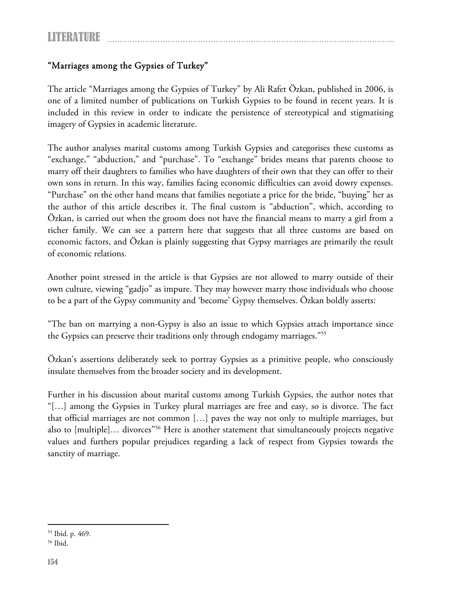# "Marriages among the Gypsies of Turkey"

The article "Marriages among the Gypsies of Turkey" by Ali Rafet Özkan, published in 2006, is one of a limited number of publications on Turkish Gypsies to be found in recent years. It is included in this review in order to indicate the persistence of stereotypical and stigmatising imagery of Gypsies in academic literature.

The author analyses marital customs among Turkish Gypsies and categorises these customs as "exchange," "abduction," and "purchase". To "exchange" brides means that parents choose to marry off their daughters to families who have daughters of their own that they can offer to their own sons in return. In this way, families facing economic difficulties can avoid dowry expenses. "Purchase" on the other hand means that families negotiate a price for the bride, "buying" her as the author of this article describes it. The final custom is "abduction", which, according to Özkan, is carried out when the groom does not have the financial means to marry a girl from a richer family. We can see a pattern here that suggests that all three customs are based on economic factors, and Özkan is plainly suggesting that Gypsy marriages are primarily the result of economic relations.

Another point stressed in the article is that Gypsies are not allowed to marry outside of their own culture, viewing "gadjo" as impure. They may however marry those individuals who choose to be a part of the Gypsy community and 'become' Gypsy themselves. Özkan boldly asserts:

"The ban on marrying a non-Gypsy is also an issue to which Gypsies attach importance since the Gypsies can preserve their traditions only through endogamy marriages."55

Özkan's assertions deliberately seek to portray Gypsies as a primitive people, who consciously insulate themselves from the broader society and its development.

Further in his discussion about marital customs among Turkish Gypsies, the author notes that "[…] among the Gypsies in Turkey plural marriages are free and easy, so is divorce. The fact that official marriages are not common […] paves the way not only to multiple marriages, but also to [multiple]... divorces"<sup>56</sup> Here is another statement that simultaneously projects negative values and furthers popular prejudices regarding a lack of respect from Gypsies towards the sanctity of marriage.

 $\overline{a}$ 55 Ibid. p. 469.

<sup>56</sup> Ibid.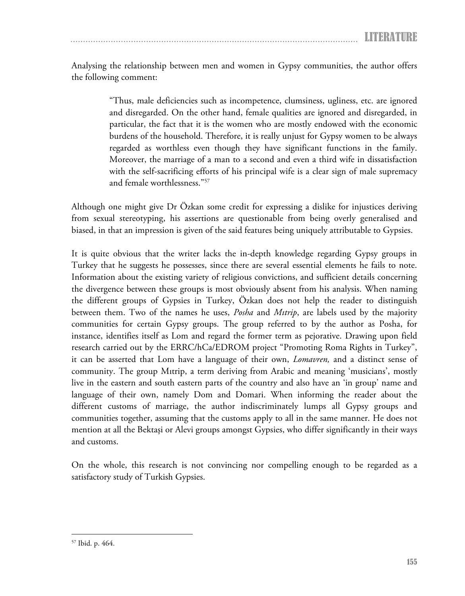Analysing the relationship between men and women in Gypsy communities, the author offers the following comment:

> "Thus, male deficiencies such as incompetence, clumsiness, ugliness, etc. are ignored and disregarded. On the other hand, female qualities are ignored and disregarded, in particular, the fact that it is the women who are mostly endowed with the economic burdens of the household. Therefore, it is really unjust for Gypsy women to be always regarded as worthless even though they have significant functions in the family. Moreover, the marriage of a man to a second and even a third wife in dissatisfaction with the self-sacrificing efforts of his principal wife is a clear sign of male supremacy and female worthlessness."57

Although one might give Dr Özkan some credit for expressing a dislike for injustices deriving from sexual stereotyping, his assertions are questionable from being overly generalised and biased, in that an impression is given of the said features being uniquely attributable to Gypsies.

It is quite obvious that the writer lacks the in-depth knowledge regarding Gypsy groups in Turkey that he suggests he possesses, since there are several essential elements he fails to note. Information about the existing variety of religious convictions, and sufficient details concerning the divergence between these groups is most obviously absent from his analysis. When naming the different groups of Gypsies in Turkey, Özkan does not help the reader to distinguish between them. Two of the names he uses, *Posha* and *Mıtrip*, are labels used by the majority communities for certain Gypsy groups. The group referred to by the author as Posha, for instance, identifies itself as Lom and regard the former term as pejorative. Drawing upon field research carried out by the ERRC/hCa/EDROM project "Promoting Roma Rights in Turkey", it can be asserted that Lom have a language of their own, *Lomavren,* and a distinct sense of community. The group Mıtrip, a term deriving from Arabic and meaning 'musicians', mostly live in the eastern and south eastern parts of the country and also have an 'in group' name and language of their own, namely Dom and Domari. When informing the reader about the different customs of marriage, the author indiscriminately lumps all Gypsy groups and communities together, assuming that the customs apply to all in the same manner. He does not mention at all the Bektaşi or Alevi groups amongst Gypsies, who differ significantly in their ways and customs.

On the whole, this research is not convincing nor compelling enough to be regarded as a satisfactory study of Turkish Gypsies.

 $\overline{a}$ 57 Ibid. p. 464.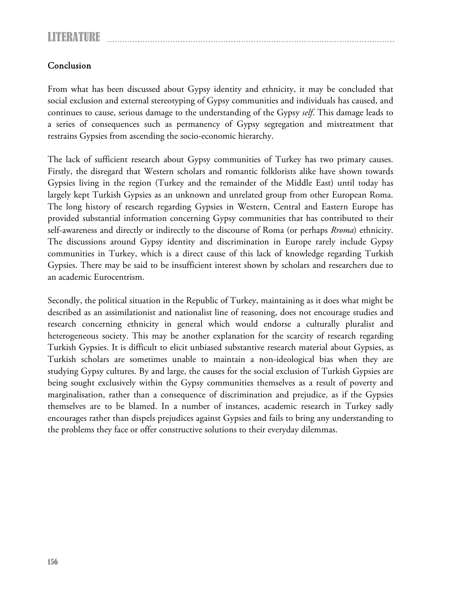## Conclusion

From what has been discussed about Gypsy identity and ethnicity, it may be concluded that social exclusion and external stereotyping of Gypsy communities and individuals has caused, and continues to cause, serious damage to the understanding of the Gypsy *self*. This damage leads to a series of consequences such as permanency of Gypsy segregation and mistreatment that restrains Gypsies from ascending the socio-economic hierarchy.

The lack of sufficient research about Gypsy communities of Turkey has two primary causes. Firstly, the disregard that Western scholars and romantic folklorists alike have shown towards Gypsies living in the region (Turkey and the remainder of the Middle East) until today has largely kept Turkish Gypsies as an unknown and unrelated group from other European Roma. The long history of research regarding Gypsies in Western, Central and Eastern Europe has provided substantial information concerning Gypsy communities that has contributed to their self-awareness and directly or indirectly to the discourse of Roma (or perhaps *Rroma*) ethnicity. The discussions around Gypsy identity and discrimination in Europe rarely include Gypsy communities in Turkey, which is a direct cause of this lack of knowledge regarding Turkish Gypsies. There may be said to be insufficient interest shown by scholars and researchers due to an academic Eurocentrism.

Secondly, the political situation in the Republic of Turkey, maintaining as it does what might be described as an assimilationist and nationalist line of reasoning, does not encourage studies and research concerning ethnicity in general which would endorse a culturally pluralist and heterogeneous society. This may be another explanation for the scarcity of research regarding Turkish Gypsies. It is difficult to elicit unbiased substantive research material about Gypsies, as Turkish scholars are sometimes unable to maintain a non-ideological bias when they are studying Gypsy cultures. By and large, the causes for the social exclusion of Turkish Gypsies are being sought exclusively within the Gypsy communities themselves as a result of poverty and marginalisation, rather than a consequence of discrimination and prejudice, as if the Gypsies themselves are to be blamed. In a number of instances, academic research in Turkey sadly encourages rather than dispels prejudices against Gypsies and fails to bring any understanding to the problems they face or offer constructive solutions to their everyday dilemmas.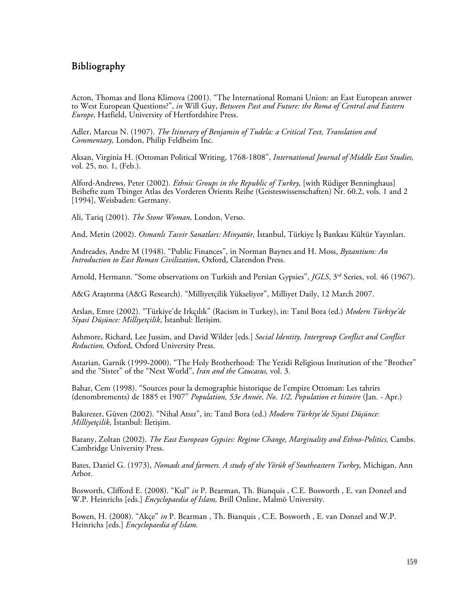#### Bibliography

Acton, Thomas and Ilona Klimova (2001). "The International Romani Union: an East European answer to West European Questions?", *in* Will Guy, *Between Past and Future: the Roma of Central and Eastern Europe,* Hatfield, University of Hertfordshire Press.

Adler, Marcus N. (1907). *The Itinerary of Benjamin of Tudela: a Critical Text, Translation and Commentary,* London, Philip Feldheim Inc.

Aksan, Virginia H. (Ottoman Political Writing, 1768-1808", *International Journal of Middle East Studies,*  vol. 25, no. 1, (Feb.).

Alford-Andrews, Peter (2002). *Ethnic Groups in the Republic of Turkey*, [with Rüdiger Benninghaus] Beihefte zum Tbinger Atlas des Vorderen Orients Reihe (Geisteswissenschaften) Nr. 60.2, vols. 1 and 2 [1994], Weisbaden: Germany.

Ali, Tariq (2001). *The Stone Woman,* London, Verso.

And, Metin (2002). *Osmanlı Tasvir Sanatları: Minyatür,* İstanbul, Türkiye İş Bankası Kültür Yayınları.

Andreades, Andre M (1948). "Public Finances", in Norman Baynes and H. Moss, *Byzantium: An Introduction to East Roman Civilization*, Oxford, Clarendon Press.

Arnold, Hermann. "Some observations on Turkish and Persian Gypsies", *JGLS*, 3<sup>rd</sup> Series, vol. 46 (1967).

A&G Araştırma (A&G Research). "Milliyetçilik Yükseliyor", Milliyet Daily, 12 March 2007.

Arslan, Emre (2002). "Türkiye'de Irkçılık" (Racism in Turkey), in: Tanıl Bora (ed.) *Modern Türkiye'de Siyasi Düşünce: Milliyetçilik*, İstanbul: İletişim.

Ashmore, Richard, Lee Jussim, and David Wilder [eds.] *Social Identity, Intergroup Conflict and Conflict Reduction,* Oxford, Oxford University Press.

Astarian, Garnik (1999-2000). "The Holy Brotherhood: The Yezidi Religious Institution of the "Brother" and the "Sister" of the "Next World", *Iran and the Caucasus,* vol. 3.

Bahar, Cem (1998). "Sources pour la demographie historique de l'empire Ottoman: Les tahrirs (denombrements) de 1885 et 1907" *Population, 53e Année, No. 1/2, Population et histoire* (Jan. - Apr.)

Bakırezer, Güven (2002). "Nihal Atsız", in: Tanıl Bora (ed.) *Modern Türkiye'de Siyasi Düşünce: Milliyetçilik*, İstanbul: İletişim.

Barany, Zoltan (2002). *The East European Gypsies: Regime Change, Marginality and Ethno-Politics*, Cambs. Cambridge University Press.

Bates, Daniel G. (1973), *Nomads and farmers. A study of the Yörük of Southeastern Turkey,* Michigan, Ann Arbor.

Bosworth, Clifford E. (2008). "Kul" *in* P. Bearman, Th. Bianquis , C.E. Bosworth , E. van Donzel and W.P. Heinrichs [eds.] *Encyclopaedia of Islam,* Brill Online, Malmö University.

Bowen, H. (2008). "Akçe" *in* P. Bearman , Th. Bianquis , C.E. Bosworth , E. van Donzel and W.P. Heinrichs [eds.] *Encyclopaedia of Islam.*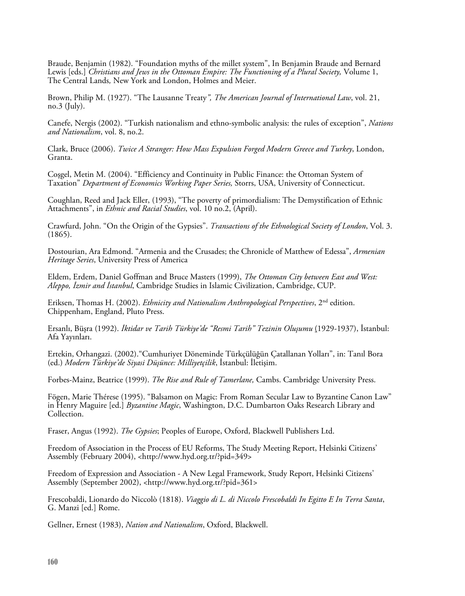Braude, Benjamin (1982). "Foundation myths of the millet system", In Benjamin Braude and Bernard Lewis [eds.] *Christians and Jews in the Ottoman Empire: The Functioning of a Plural Society*, Volume 1, The Central Lands*,* New York and London, Holmes and Meier.

Brown, Philip M. (1927). "The Lausanne Treaty*", The American Journal of International Law*, vol. 21, no.3 (July).

Canefe, Nergis (2002). "Turkish nationalism and ethno-symbolic analysis: the rules of exception", *Nations and Nationalism*, vol. 8, no.2.

Clark, Bruce (2006). *Twice A Stranger: How Mass Expulsion Forged Modern Greece and Turkey*, London, Granta.

Coşgel, Metin M. (2004). "Efficiency and Continuity in Public Finance: the Ottoman System of Taxation" *Department of Economics Working Paper Series,* Storrs, USA, University of Connecticut.

Coughlan, Reed and Jack Eller, (1993), "The poverty of primordialism: The Demystification of Ethnic Attachments", in *Ethnic and Racial Studies*, vol. 10 no.2, (April).

Crawfurd, John. "On the Origin of the Gypsies". *Transactions of the Ethnological Society of London*, Vol. 3. (1865).

Dostourian, Ara Edmond. "Armenia and the Crusades; the Chronicle of Matthew of Edessa", *Armenian Heritage Series*, University Press of America

Eldem, Erdem, Daniel Goffman and Bruce Masters (1999), *The Ottoman City between East and West: Aleppo, İzmir and İstanbul*, Cambridge Studies in Islamic Civilization, Cambridge, CUP.

Eriksen, Thomas H. (2002). *Ethnicity and Nationalism Anthropological Perspectives*, 2nd edition. Chippenham, England, Pluto Press.

Ersanlı, Büşra (1992). *İktidar ve Tarih Türkiye'de "Resmi Tarih" Tezinin Oluşumu* (1929-1937), İstanbul: Afa Yayınları.

Ertekin, Orhangazi. (2002)."Cumhuriyet Döneminde Türkçülüğün Çatallanan Yolları", in: Tanıl Bora (ed.) *Modern Türkiye'de Siyasi Düşünce: Milliyetçilik*, İstanbul: İletişim.

Forbes-Mainz, Beatrice (1999). *The Rise and Rule of Tamerlane,* Cambs. Cambridge University Press.

Fögen, Marie Thérese (1995). "Balsamon on Magic: From Roman Secular Law to Byzantine Canon Law" in Henry Maguire [ed.] *Byzantine Magic*, Washington, D.C. Dumbarton Oaks Research Library and Collection.

Fraser, Angus (1992). *The Gypsies*; Peoples of Europe, Oxford, Blackwell Publishers Ltd.

Freedom of Association in the Process of EU Reforms, The Study Meeting Report, Helsinki Citizens' Assembly (February 2004), <http://www.hyd.org.tr/?pid=349>

Freedom of Expression and Association - A New Legal Framework, Study Report, Helsinki Citizens' Assembly (September 2002), <http://www.hyd.org.tr/?pid=361>

Frescobaldi, Lionardo do Niccolò (1818). *Viaggio di L. di Niccolo Frescobaldi In Egitto E In Terra Santa*, G. Manzi [ed.] Rome.

Gellner, Ernest (1983), *Nation and Nationalism*, Oxford, Blackwell.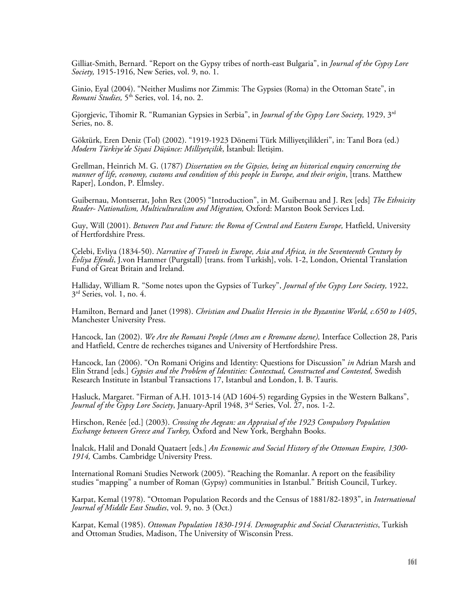Gilliat-Smith, Bernard. "Report on the Gypsy tribes of north-east Bulgaria", in *Journal of the Gypsy Lore Society,* 1915-1916, New Series, vol. 9, no. 1.

Ginio, Eyal (2004). "Neither Muslims nor Zimmis: The Gypsies (Roma) in the Ottoman State", in *Romani Studies,* 5th Series, vol. 14, no. 2.

Gjorgjevic, Tihomir R. "Rumanian Gypsies in Serbia", in *Journal of the Gypsy Lore Society,* 1929, 3rd Series, no. 8.

Göktürk, Eren Deniz (Tol) (2002). "1919-1923 Dönemi Türk Milliyetçilikleri", in: Tanıl Bora (ed.) *Modern Türkiye'de Siyasi Düşünce: Milliyetçilik*, İstanbul: İletişim.

Grellman, Heinrich M. G. (1787) *Dissertation on the Gipsies, being an historical enquiry concerning the manner of life, economy, customs and condition of this people in Europe, and their origin*, [trans. Matthew Raper], London, P. Elmsley.

Guibernau, Montserrat, John Rex (2005) "Introduction", in M. Guibernau and J. Rex [eds] *The Ethnicity Reader- Nationalism, Multiculturalism and Migration,* Oxford: Marston Book Services Ltd.

Guy, Will (2001). *Between Past and Future: the Roma of Central and Eastern Europe*, Hatfield, University of Hertfordshire Press.

Çelebi, Evliya (1834-50). *Narrative of Travels in Europe, Asia and Africa, in the Seventeenth Century by Evliya Efendi*, J.von Hammer (Purgstall) [trans. from Turkish], vols. 1-2, London, Oriental Translation Fund of Great Britain and Ireland.

Halliday, William R. "Some notes upon the Gypsies of Turkey", *Journal of the Gypsy Lore Society,* 1922,  $3<sup>rd</sup>$  Series, vol. 1, no. 4.

Hamilton, Bernard and Janet (1998). *Christian and Dualist Heresies in the Byzantine World, c.650 to 1405*, Manchester University Press.

Hancock, Ian (2002). *We Are the Romani People (Ames am e Rromane dzene),* Interface Collection 28, Paris and Hatfield, Centre de recherches tsiganes and University of Hertfordshire Press.

Hancock, Ian (2006). "On Romani Origins and Identity: Questions for Discussion" *in* Adrian Marsh and Elin Strand [eds.] *Gypsies and the Problem of Identities: Contextual, Constructed and Contested,* Swedish Research Institute in Istanbul Transactions 17, Istanbul and London, I. B. Tauris.

Hasluck, Margaret. "Firman of A.H. 1013-14 (AD 1604-5) regarding Gypsies in the Western Balkans", *Journal of the Gypsy Lore Society*, January-April 1948, 3rd Series, Vol. 27, nos. 1-2.

Hirschon, Renée [ed.] (2003). *Crossing the Aegean: an Appraisal of the 1923 Compulsory Population Exchange between Greece and Turkey,* Oxford and New York, Berghahn Books.

İnalcık, Halil and Donald Quataert [eds.] *An Economic and Social History of the Ottoman Empire, 1300- 1914,* Cambs. Cambridge University Press.

International Romani Studies Network (2005). "Reaching the Romanlar. A report on the feasibility studies "mapping" a number of Roman (Gypsy) communities in Istanbul." British Council, Turkey.

Karpat, Kemal (1978). "Ottoman Population Records and the Census of 1881/82-1893", in *International Journal of Middle East Studies*, vol. 9, no. 3 (Oct.)

Karpat, Kemal (1985). *Ottoman Population 1830-1914. Demographic and Social Characteristics*, Turkish and Ottoman Studies, Madison, The University of Wisconsin Press.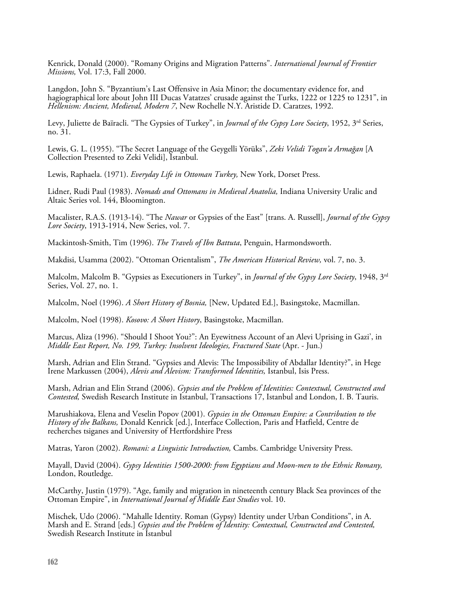Kenrick, Donald (2000). "Romany Origins and Migration Patterns". *International Journal of Frontier Missions,* Vol. 17:3, Fall 2000.

Langdon, John S. "Byzantium's Last Offensive in Asia Minor; the documentary evidence for, and hagiographical lore about John III Ducas Vatatzes' crusade against the Turks, 1222 or 1225 to 1231", in *Hellenism: Ancient, Medieval, Modern 7*, New Rochelle N.Y. Aristide D. Caratzes, 1992.

Levy, Juliette de Baïracli. "The Gypsies of Turkey", in *Journal of the Gypsy Lore Society*, 1952, 3<sup>rd</sup> Series, no. 31.

Lewis, G. L. (1955). "The Secret Language of the Geygelli Yörüks", *Zeki Velidi Togan'a Armağan* [A Collection Presented to Zeki Velidi], Istanbul.

Lewis, Raphaela. (1971). *Everyday Life in Ottoman Turkey,* New York, Dorset Press.

Lidner, Rudi Paul (1983). *Nomads and Ottomans in Medieval Anatolia,* Indiana University Uralic and Altaic Series vol. 144, Bloomington.

Macalister, R.A.S. (1913-14). "The *Nawar* or Gypsies of the East" [trans. A. Russell], *Journal of the Gypsy Lore Society*, 1913-1914, New Series, vol. 7.

Mackintosh-Smith, Tim (1996). *The Travels of Ibn Battuta*, Penguin, Harmondsworth.

Makdisi, Usamma (2002). "Ottoman Orientalism", *The American Historical Review,* vol. 7, no. 3.

Malcolm, Malcolm B. "Gypsies as Executioners in Turkey", in *Journal of the Gypsy Lore Society*, 1948, 3rd Series, Vol. 27, no. 1.

Malcolm, Noel (1996). *A Short History of Bosnia,* [New, Updated Ed.], Basingstoke, Macmillan.

Malcolm, Noel (1998). *Kosovo: A Short History*, Basingstoke, Macmillan.

Marcus, Aliza (1996). "Should I Shoot You?": An Eyewitness Account of an Alevi Uprising in Gazi', in *Middle East Report, No. 199, Turkey: Insolvent Ideologies, Fractured State* (Apr. - Jun.)

Marsh, Adrian and Elin Strand. "Gypsies and Alevis: The Impossibility of Abdallar Identity?", in Hege Irene Markussen (2004), *Alevis and Alevism: Transformed Identities,* Istanbul, Isis Press.

Marsh, Adrian and Elin Strand (2006). *Gypsies and the Problem of Identities: Contextual, Constructed and Contested,* Swedish Research Institute in Istanbul, Transactions 17, Istanbul and London, I. B. Tauris.

Marushiakova, Elena and Veselin Popov (2001). *Gypsies in the Ottoman Empire: a Contribution to the History of the Balkans,* Donald Kenrick [ed.], Interface Collection, Paris and Hatfield, Centre de recherches tsiganes and University of Hertfordshire Press

Matras, Yaron (2002). *Romani: a Linguistic Introduction,* Cambs. Cambridge University Press.

Mayall, David (2004). *Gypsy Identities 1500-2000: from Egyptians and Moon-men to the Ethnic Romany,*  London, Routledge.

McCarthy, Justin (1979). "Age, family and migration in nineteenth century Black Sea provinces of the Ottoman Empire", in *International Journal of Middle East Studies* vol. 10.

Mischek, Udo (2006). "Mahalle Identity. Roman (Gypsy) Identity under Urban Conditions", in A. Marsh and E. Strand [eds.] *Gypsies and the Problem of Identity: Contextual, Constructed and Contested,*  Swedish Research Institute in Istanbul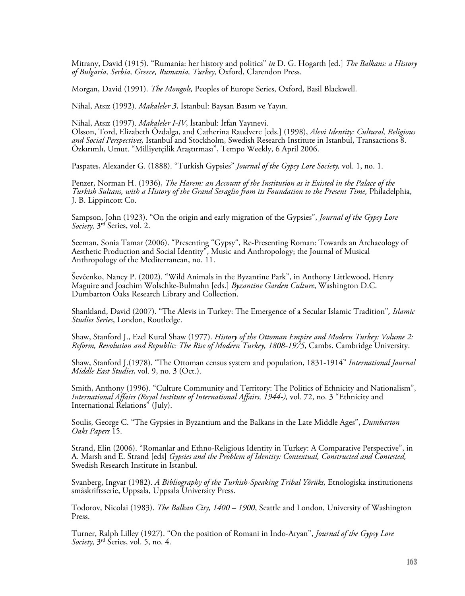Mitrany, David (1915). "Rumania: her history and politics" *in* D. G. Hogarth [ed.] *The Balkans: a History of Bulgaria, Serbia, Greece, Rumania, Turkey,* Oxford, Clarendon Press.

Morgan, David (1991). *The Mongols,* Peoples of Europe Series, Oxford, Basil Blackwell.

Nihal, Atsız (1992). *Makaleler 3*, İstanbul: Baysan Basım ve Yayın.

Nihal, Atsız (1997). *Makaleler I-IV*, İstanbul: İrfan Yayınevi. Olsson, Tord, Elizabeth Özdalga, and Catherina Raudvere [eds.] (1998), *Alevi Identity: Cultural, Religious and Social Perspectives,* Istanbul and Stockholm, Swedish Research Institute in Istanbul, Transactions 8. Özkırımlı, Umut. "Milliyetçilik Araştırması", Tempo Weekly, 6 April 2006.

Paspates, Alexander G. (1888). "Turkish Gypsies" *Journal of the Gypsy Lore Society,* vol. 1, no. 1.

Penzer, Norman H. (1936), *The Harem: an Account of the Institution as it Existed in the Palace of the Turkish Sultans, with a History of the Grand Seraglio from its Foundation to the Present Time,* Philadelphia, J. B. Lippincott Co.

Sampson, John (1923). "On the origin and early migration of the Gypsies", *Journal of the Gypsy Lore Society,* 3rd Series, vol. 2.

Seeman, Sonia Tamar (2006). "Presenting "Gypsy", Re-Presenting Roman: Towards an Archaeology of Aesthetic Production and Social Identity", Music and Anthropology; the Journal of Musical Anthropology of the Mediterranean, no. 11.

Ševčenko, Nancy P. (2002). "Wild Animals in the Byzantine Park", in Anthony Littlewood, Henry Maguire and Joachim Wolschke-Bulmahn [eds.] *Byzantine Garden Culture*, Washington D.C. Dumbarton Oaks Research Library and Collection.

Shankland, David (2007). "The Alevis in Turkey: The Emergence of a Secular Islamic Tradition"*, Islamic Studies Series*, London, Routledge.

Shaw, Stanford J., Ezel Kural Shaw (1977). *History of the Ottoman Empire and Modern Turkey: Volume 2: Reform, Revolution and Republic: The Rise of Modern Turkey, 1808-1975*, Cambs. Cambridge University.

Shaw, Stanford J.(1978). "The Ottoman census system and population, 1831-1914" *International Journal Middle East Studies*, vol. 9, no. 3 (Oct.).

Smith, Anthony (1996). "Culture Community and Territory: The Politics of Ethnicity and Nationalism", *International Affairs (Royal Institute of International Affairs, 1944-),* vol. 72, no. 3 "Ethnicity and International Relations" (July).

Soulis, George C. "The Gypsies in Byzantium and the Balkans in the Late Middle Ages", *Dumbarton Oaks Papers* 15.

Strand, Elin (2006). "Romanlar and Ethno-Religious Identity in Turkey: A Comparative Perspective", in A. Marsh and E. Strand [eds] *Gypsies and the Problem of Identity: Contextual, Constructed and Contested,*  Swedish Research Institute in Istanbul.

Svanberg, Ingvar (1982). *A Bibliography of the Turkish-Speaking Tribal Yörüks,* Etnologiska institutionens småskriftsserie, Uppsala, Uppsala University Press.

Todorov, Nicolai (1983). *The Balkan City, 1400 – 1900*, Seattle and London, University of Washington Press.

Turner, Ralph Lilley (1927). "On the position of Romani in Indo-Aryan", *Journal of the Gypsy Lore Society,* 3rd Series, vol. 5, no. 4.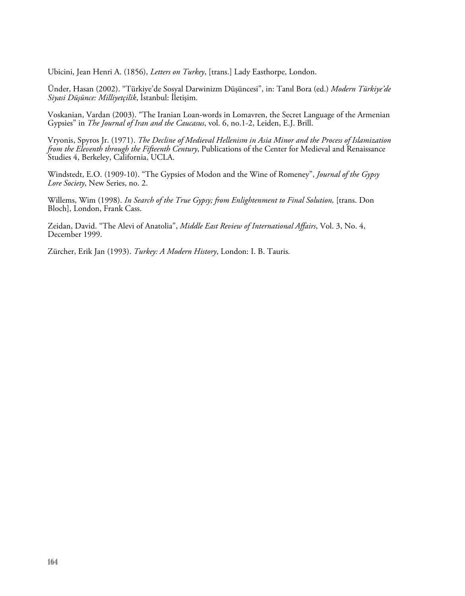Ubicini, Jean Henri A. (1856), *Letters on Turkey*, [trans.] Lady Easthorpe, London.

Ünder, Hasan (2002). "Türkiye'de Sosyal Darwinizm Düşüncesi", in: Tanıl Bora (ed.) *Modern Türkiye'de Siyasi Düşünce: Milliyetçilik*, İstanbul: İletişim.

Voskanian, Vardan (2003). "The Iranian Loan-words in Lomavren, the Secret Language of the Armenian Gypsies" in *The Journal of Iran and the Caucasus*, vol. 6, no.1-2, Leiden, E.J. Brill.

Vryonis, Spyros Jr. (1971). *The Decline of Medieval Hellenism in Asia Minor and the Process of Islamization from the Eleventh through the Fifteenth Century*, Publications of the Center for Medieval and Renaissance Studies 4, Berkeley, California, UCLA.

Windstedt, E.O. (1909-10). "The Gypsies of Modon and the Wine of Romeney", *Journal of the Gypsy Lore Society*, New Series, no. 2.

Willems, Wim (1998). *In Search of the True Gypsy; from Enlightenment to Final Solution,* [trans. Don Bloch], London, Frank Cass.

Zeidan, David. "The Alevi of Anatolia", *Middle East Review of International Affairs*, Vol. 3, No. 4, December 1999.

Zürcher, Erik Jan (1993). *Turkey: A Modern History*, London: I. B. Tauris.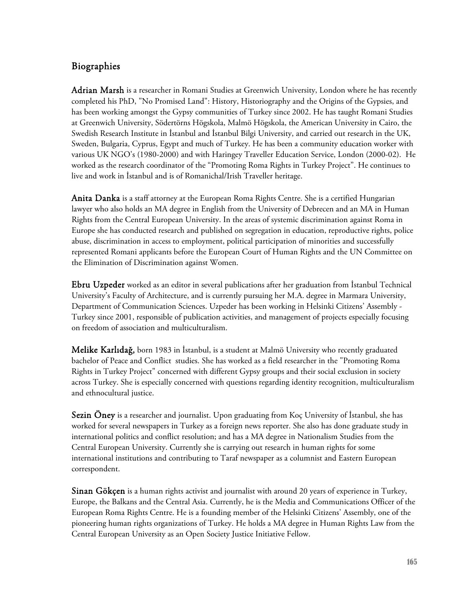# Biographies

Adrian Marsh is a researcher in Romani Studies at Greenwich University, London where he has recently completed his PhD, "No Promised Land": History, Historiography and the Origins of the Gypsies, and has been working amongst the Gypsy communities of Turkey since 2002. He has taught Romani Studies at Greenwich University, Södertörns Högskola, Malmö Högskola, the American University in Cairo, the Swedish Research Institute in İstanbul and İstanbul Bilgi University, and carried out research in the UK, Sweden, Bulgaria, Cyprus, Egypt and much of Turkey. He has been a community education worker with various UK NGO's (1980-2000) and with Haringey Traveller Education Service, London (2000-02). He worked as the research coordinator of the "Promoting Roma Rights in Turkey Project". He continues to live and work in İstanbul and is of Romanichal/Irish Traveller heritage.

Anita Danka is a staff attorney at the European Roma Rights Centre. She is a certified Hungarian lawyer who also holds an MA degree in English from the University of Debrecen and an MA in Human Rights from the Central European University. In the areas of systemic discrimination against Roma in Europe she has conducted research and published on segregation in education, reproductive rights, police abuse, discrimination in access to employment, political participation of minorities and successfully represented Romani applicants before the European Court of Human Rights and the UN Committee on the Elimination of Discrimination against Women.

Ebru Uzpeder worked as an editor in several publications after her graduation from İstanbul Technical University's Faculty of Architecture, and is currently pursuing her M.A. degree in Marmara University, Department of Communication Sciences. Uzpeder has been working in Helsinki Citizens' Assembly - Turkey since 2001, responsible of publication activities, and management of projects especially focusing on freedom of association and multiculturalism.

Melike Karlıdağ, born 1983 in İstanbul, is a student at Malmö University who recently graduated bachelor of Peace and Conflict studies. She has worked as a field researcher in the "Promoting Roma Rights in Turkey Project" concerned with different Gypsy groups and their social exclusion in society across Turkey. She is especially concerned with questions regarding identity recognition, multiculturalism and ethnocultural justice.

Sezin Oney is a researcher and journalist. Upon graduating from Koç University of İstanbul, she has worked for several newspapers in Turkey as a foreign news reporter. She also has done graduate study in international politics and conflict resolution; and has a MA degree in Nationalism Studies from the Central European University. Currently she is carrying out research in human rights for some international institutions and contributing to Taraf newspaper as a columnist and Eastern European correspondent.

**Sinan Gökçen** is a human rights activist and journalist with around 20 years of experience in Turkey, Europe, the Balkans and the Central Asia. Currently, he is the Media and Communications Officer of the European Roma Rights Centre. He is a founding member of the Helsinki Citizens' Assembly, one of the pioneering human rights organizations of Turkey. He holds a MA degree in Human Rights Law from the Central European University as an Open Society Justice Initiative Fellow.